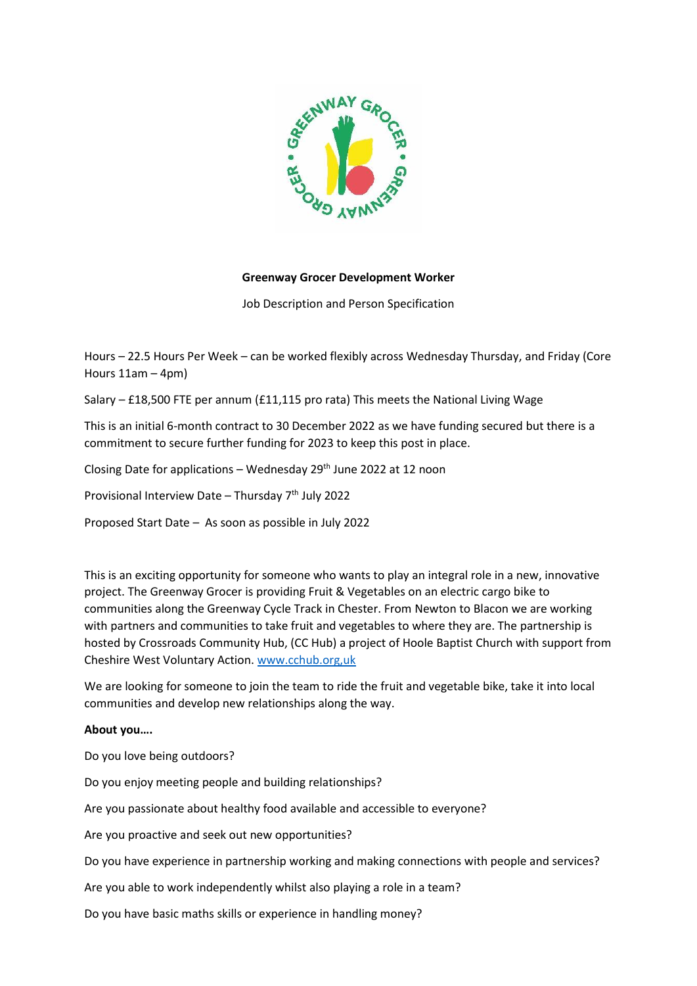

# **Greenway Grocer Development Worker**

Job Description and Person Specification

Hours – 22.5 Hours Per Week – can be worked flexibly across Wednesday Thursday, and Friday (Core Hours 11am – 4pm)

Salary – £18,500 FTE per annum (£11,115 pro rata) This meets the National Living Wage

This is an initial 6-month contract to 30 December 2022 as we have funding secured but there is a commitment to secure further funding for 2023 to keep this post in place.

Closing Date for applications – Wednesday  $29<sup>th</sup>$  June 2022 at 12 noon

Provisional Interview Date - Thursday 7<sup>th</sup> July 2022

Proposed Start Date – As soon as possible in July 2022

This is an exciting opportunity for someone who wants to play an integral role in a new, innovative project. The Greenway Grocer is providing Fruit & Vegetables on an electric cargo bike to communities along the Greenway Cycle Track in Chester. From Newton to Blacon we are working with partners and communities to take fruit and vegetables to where they are. The partnership is hosted by Crossroads Community Hub, (CC Hub) a project of Hoole Baptist Church with support from Cheshire West Voluntary Action[. www.cchub.org,uk](http://www.cchub.org,uk/)

We are looking for someone to join the team to ride the fruit and vegetable bike, take it into local communities and develop new relationships along the way.

### **About you….**

Do you love being outdoors?

Do you enjoy meeting people and building relationships?

Are you passionate about healthy food available and accessible to everyone?

Are you proactive and seek out new opportunities?

Do you have experience in partnership working and making connections with people and services?

Are you able to work independently whilst also playing a role in a team?

Do you have basic maths skills or experience in handling money?